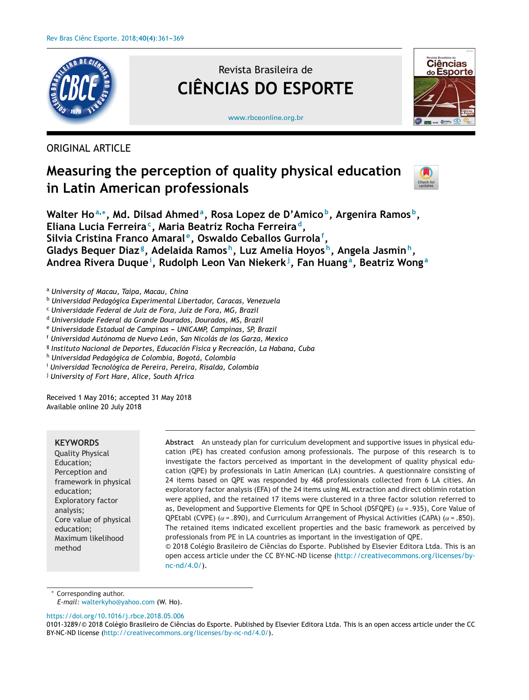

# Revista Brasileira de **CIÊNCIAS DO ESPORTE**



[www.rbceonline.org.br](http://www.rbceonline.org.br)

## ORIGINAL ARTICLE

# **Measuring the perception of quality physical education in Latin American professionals**



**Walter Ho<sup>a</sup>,∗, Md. Dilsad Ahmeda, Rosa Lopez de D'Amico b, Argenira Ramos b, Eliana Lucia Ferreirac, Maria Beatriz Rocha Ferreira d, Silvia Cristina Franco Amaral e, Oswaldo Ceballos Gurrola<sup>f</sup> , Gladys Bequer Diazg, Adelaida Ramos h, Luz Amelia Hoyos h, Angela Jasmin h, Andrea Rivera Duque<sup>i</sup> , Rudolph Leon Van Niekerk<sup>j</sup> , Fan Huang a, Beatriz Wong <sup>a</sup>**

<sup>a</sup> *University of Macau, Taipa, Macau, China*

- <sup>b</sup> *Universidad Pedagógica Experimental Libertador, Caracas, Venezuela*
- <sup>c</sup> *Universidade Federal de Juiz de Fora, Juiz de Fora, MG, Brazil*
- <sup>d</sup> *Universidade Federal da Grande Dourados, Dourados, MS, Brazil*

<sup>e</sup> *Universidade Estadual de Campinas --- UNICAMP, Campinas, SP, Brazil*

<sup>f</sup> *Universidad Autónoma de Nuevo León, San Nicolás de los Garza, Mexico*

<sup>g</sup> *Instituto Nacional de Deportes, Educación Física y Recreación, La Habana, Cuba*

[nc-nd/4.0/](http://creativecommons.org/licenses/by-nc-nd/4.0/)).

<sup>h</sup> *Universidad Pedagógica de Colombia, Bogotá, Colombia*

<sup>i</sup> *Universidad Tecnológica de Pereira, Pereira, Risalda, Colombia*

<sup>j</sup> *University of Fort Hare, Alice, South Africa*

Received 1 May 2016; accepted 31 May 2018 Available online 20 July 2018

## **KEYWORDS**

Quality Physical Education; Perception and framework in physical education; Exploratory factor analysis; Core value of physical education; Maximum likelihood method

**Abstract** An unsteady plan for curriculum development and supportive issues in physical education (PE) has created confusion among professionals. The purpose of this research is to investigate the factors perceived as important in the development of quality physical education (QPE) by professionals in Latin American (LA) countries. A questionnaire consisting of 24 items based on QPE was responded by 468 professionals collected from 6 LA cities. An exploratory factor analysis (EFA) of the 24 items using ML extraction and direct oblimin rotation were applied, and the retained 17 items were clustered in a three factor solution referred to as, Development and Supportive Elements for QPE in School (DSFQPE) ( $\alpha$  = .935), Core Value of QPEtabl (CVPE) ( $\alpha$  = .890), and Curriculum Arrangement of Physical Activities (CAPA) ( $\alpha$  = .850). The retained items indicated excellent properties and the basic framework as perceived by professionals from PE in LA countries as important in the investigation of QPE.  $\odot$  2018 Colégio Brasileiro de Ciências do Esporte. Published by Elsevier Editora Ltda. This is an open access article under the CC BY-NC-ND license [\(http://creativecommons.org/licenses/by-](http://creativecommons.org/licenses/by-nc-nd/4.0/)

Corresponding author.

*E-mail:* [walterkyho@yahoo.com](mailto:walterkyho@yahoo.com) (W. Ho).

<https://doi.org/10.1016/j.rbce.2018.05.006>

<sup>0101-3289/© 2018</sup> Colégio Brasileiro de Ciências do Esporte. Published by Elsevier Editora Ltda. This is an open access article under the CC BY-NC-ND license (<http://creativecommons.org/licenses/by-nc-nd/4.0/>).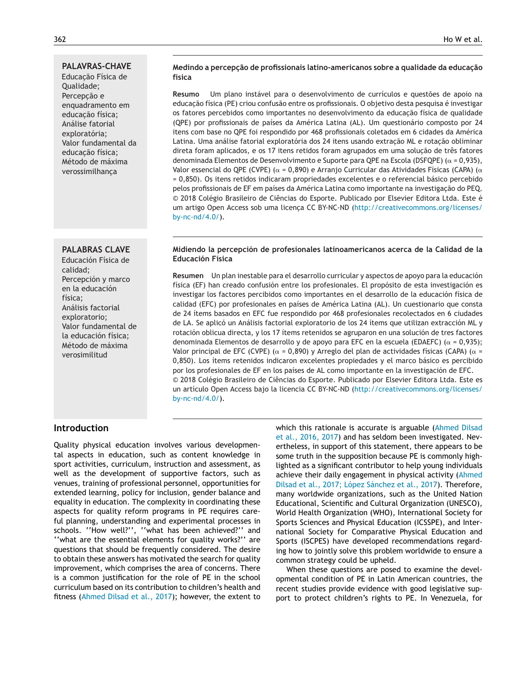## **PALAVRAS-CHAVE**

Educacão Física de Qualidade; Percepcão e enquadramento em educacão física; Análise fatorial exploratória; Valor fundamental da educação física; Método de máxima verossimilhança

## **PALABRAS CLAVE**

Educación Física de calidad; Percepción y marco en la educación física; Análisis factorial exploratorio; Valor fundamental de la educación física; Método de máxima verosimilitud

## **Medindo a percepc¸ão de profissionais latino-americanos sobre a qualidade da educac¸ão física**

**Resumo** Um plano instável para o desenvolvimento de currículos e questões de apoio na educação física (PE) criou confusão entre os profissionais. O objetivo desta pesquisa é investigar os fatores percebidos como importantes no desenvolvimento da educação física de qualidade (QPE) por profissionais de países da América Latina (AL). Um questionário composto por 24 itens com base no QPE foi respondido por 468 profissionais coletados em 6 cidades da América Latina. Uma análise fatorial exploratória dos 24 itens usando extração ML e rotação obliminar direta foram aplicados, e os 17 itens retidos foram agrupados em uma solução de três fatores denominada Elementos de Desenvolvimento e Suporte para QPE na Escola (DSFQPE) ( $\alpha$  = 0,935), Valor essencial do QPE (CVPE) ( $\alpha$  = 0,890) e Arranjo Curricular das Atividades Físicas (CAPA) ( $\alpha$ = 0,850). Os itens retidos indicaram propriedades excelentes e o referencial básico percebido pelos profissionais de EF em países da América Latina como importante na investigação do PEQ. © 2018 Colégio Brasileiro de Ciências do Esporte. Publicado por Elsevier Editora Ltda. Este é um artigo Open Access sob uma licença CC BY-NC-ND ([http://creativecommons.org/licenses/](http://creativecommons.org/licenses/by-nc-nd/4.0/) [by-nc-nd/4.0/\)](http://creativecommons.org/licenses/by-nc-nd/4.0/).

## **Midiendo la percepción de profesionales latinoamericanos acerca de la Calidad de la Educación Física**

**Resumen** Un plan inestable para el desarrollo curricular y aspectos de apoyo para la educación física (EF) han creado confusión entre los profesionales. El propósito de esta investigación es investigar los factores percibidos como importantes en el desarrollo de la educación física de calidad (EFC) por profesionales en países de América Latina (AL). Un cuestionario que consta de 24 ítems basados en EFC fue respondido por 468 profesionales recolectados en 6 ciudades de LA. Se aplicó un Análisis factorial exploratorio de los 24 ítems que utilizan extracción ML y rotación oblicua directa, y los 17 ítems retenidos se agruparon en una solución de tres factores denominada Elementos de desarrollo y de apoyo para EFC en la escuela (EDAEFC) ( $\alpha$  = 0,935); Valor principal de EFC (CVPE) ( $\alpha$  = 0,890) y Arreglo del plan de actividades físicas (CAPA) ( $\alpha$  = 0,850). Los ítems retenidos indicaron excelentes propiedades y el marco básico es percibido por los profesionales de EF en los países de AL como importante en la investigación de EFC. © 2018 Colégio Brasileiro de Ciências do Esporte. Publicado por Elsevier Editora Ltda. Este es un artículo Open Access bajo la licencia CC BY-NC-ND ([http://creativecommons.org/licenses/](http://creativecommons.org/licenses/by-nc-nd/4.0/) [by-nc-nd/4.0/\)](http://creativecommons.org/licenses/by-nc-nd/4.0/).

## **Introduction**

Quality physical education involves various developmental aspects in education, such as content knowledge in sport activities, curriculum, instruction and assessment, as well as the development of supportive factors, such as venues, training of professional personnel, opportunities for extended learning, policy for inclusion, gender balance and equality in education. The complexity in coordinating these aspects for quality reform programs in PE requires careful planning, understanding and experimental processes in schools. ''How well?'', ''what has been achieved?'' and ''what are the essential elements for quality works?'' are questions that should be frequently considered. The desire to obtain these answers has motivated the search for quality improvement, which comprises the area of concerns. There is a common justification for the role of PE in the school curriculum based on its contribution to children's health and fitness ([Ahmed](#page-7-0) [Dilsad](#page-7-0) et [al.,](#page-7-0) [2017\);](#page-7-0) however, the extent to

which this rationale is accurate is arguable [\(Ahmed](#page-7-0) [Dilsad](#page-7-0) et [al.,](#page-7-0) [2016,](#page-7-0) [2017\)](#page-7-0) and has seldom been investigated. Nevertheless, in support of this statement, there appears to be some truth in the supposition because PE is commonly highlighted as a significant contributor to help young individuals achieve their daily engagement in physical activity ([Ahmed](#page-7-0) [Dilsad](#page-7-0) et [al.,](#page-7-0) [2017;](#page-7-0) [López](#page-7-0) [Sánchez](#page-7-0) et [al.,](#page-7-0) [2017\).](#page-7-0) Therefore, many worldwide organizations, such as the United Nation Educational, Scientific and Cultural Organization (UNESCO), World Health Organization (WHO), International Society for Sports Sciences and Physical Education (ICSSPE), and International Society for Comparative Physical Education and Sports (ISCPES) have developed recommendations regarding how to jointly solve this problem worldwide to ensure a common strategy could be upheld.

When these questions are posed to examine the developmental condition of PE in Latin American countries, the recent studies provide evidence with good legislative support to protect children's rights to PE. In Venezuela, for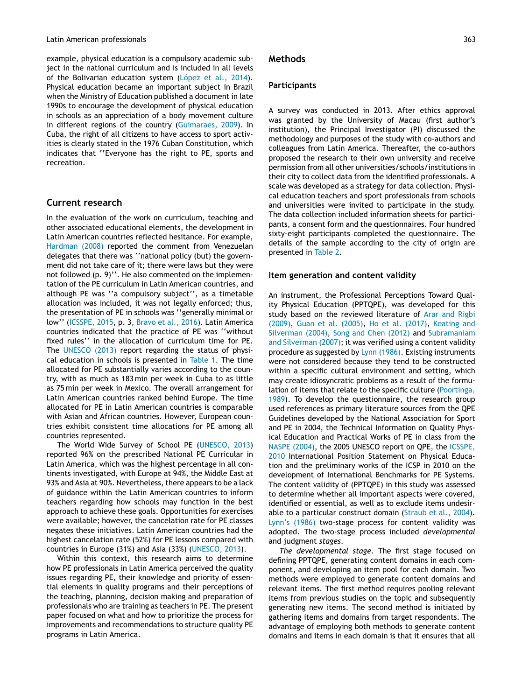example, physical education is a compulsory academic subject in the national curriculum and is included in all levels of the Bolivarian education system ([López](#page-8-0) et [al.,](#page-8-0) [2014\).](#page-8-0) Physical education became an important subject in Brazil when the Ministry of Education published a document in late 1990s to encourage the development of physical education in schools as an appreciation of a body movement culture in different regions of the country ([Guimaraes,](#page-8-0) [2009\).](#page-8-0) In Cuba, the right of all citizens to have access to sport activities is clearly stated in the 1976 Cuban Constitution, which indicates that ''Everyone has the right to PE, sports and recreation.

## **Current research**

In the evaluation of the work on curriculum, teaching and other associated educational elements, the development in Latin American countries reflected hesitance. For example, [Hardman](#page-8-0) [\(2008\)](#page-8-0) reported the comment from Venezuelan delegates that there was ''national policy (but) the government did not take care of it; there were laws but they were not followed (p. 9)''. He also commented on the implementation of the PE curriculum in Latin American countries, and although PE was ''a compulsory subject'', as a timetable allocation was included, it was not legally enforced; thus, the presentation of PE in schools was ''generally minimal or low'' ([ICSSPE,](#page-8-0) [2015,](#page-8-0) p. 3, [Bravo](#page-7-0) et [al.,](#page-7-0) [2016\).](#page-7-0) Latin America countries indicated that the practice of PE was ''without fixed rules'' in the allocation of curriculum time for PE. The [UNESCO](#page-8-0) [\(2013\)](#page-8-0) report regarding the status of physical education in schools is presented in [Table](#page-3-0) 1. The time allocated for PE substantially varies according to the country, with as much as 183 min per week in Cuba to as little as 75 min per week in Mexico. The overall arrangement for Latin American countries ranked behind Europe. The time allocated for PE in Latin American countries is comparable with Asian and African countries. However, European countries exhibit consistent time allocations for PE among all countries represented.

The World Wide Survey of School PE [\(UNESCO,](#page-8-0) [2013\)](#page-8-0) reported 96% on the prescribed National PE Curricular in Latin America, which was the highest percentage in all continents investigated, with Europe at 94%, the Middle East at 93% and Asia at 90%. Nevertheless, there appears to be a lack of guidance within the Latin American countries to inform teachers regarding how schools may function in the best approach to achieve these goals. Opportunities for exercises were available; however, the cancelation rate for PE classes negates these initiatives. Latin American countries had the highest cancelation rate (52%) for PE lessons compared with countries in Europe (31%) and Asia (33%) ([UNESCO,](#page-8-0) [2013\).](#page-8-0)

Within this context, this research aims to determine how PE professionals in Latin America perceived the quality issues regarding PE, their knowledge and priority of essential elements in quality programs and their perceptions of the teaching, planning, decision making and preparation of professionals who are training as teachers in PE. The present paper focused on what and how to prioritize the process for improvements and recommendations to structure quality PE programs in Latin America.

## **Methods**

## **Participants**

A survey was conducted in 2013. After ethics approval was granted by the University of Macau (first author's institution), the Principal Investigator (PI) discussed the methodology and purposes of the study with co-authors and colleagues from Latin America. Thereafter, the co-authors proposed the research to their own university and receive permission from all other universities/schools/institutions in their city to collect data from the identified professionals. A scale was developed as a strategy for data collection. Physical education teachers and sport professionals from schools and universities were invited to participate in the study. The data collection included information sheets for participants, a consent form and the questionnaires. Four hundred sixty-eight participants completed the questionnaire. The details of the sample according to the city of origin are presented in [Table](#page-3-0) 2.

#### **Item generation and content validity**

An instrument, the Professional Perceptions Toward Quality Physical Education (PPTQPE), was developed for this study based on the reviewed literature of [Arar](#page-7-0) [and](#page-7-0) [Rigbi](#page-7-0) [\(2009\),](#page-7-0) [Guan](#page-8-0) et [al.](#page-8-0) [\(2005\),](#page-8-0) [Ho](#page-8-0) et [al.](#page-8-0) [\(2017\),](#page-8-0) [Keating](#page-8-0) [and](#page-8-0) [Silverman](#page-8-0) [\(2004\),](#page-8-0) [Song](#page-8-0) [and](#page-8-0) [Chen](#page-8-0) [\(2012\)](#page-8-0) and [Subramaniam](#page-8-0) [and](#page-8-0) [Silverman](#page-8-0) [\(2007\);](#page-8-0) it was verified using a content validity procedure as suggested by [Lynn](#page-8-0) [\(1986\).](#page-8-0) Existing instruments were not considered because they tend to be constructed within a specific cultural environment and setting, which may create idiosyncratic problems as a result of the formulation of items that relate to the specific culture [\(Poortinga,](#page-8-0) [1989\).](#page-8-0) To develop the questionnaire, the research group used references as primary literature sources from the QPE Guidelines developed by the National Association for Sport and PE in 2004, the Technical Information on Quality Physical Education and Practical Works of PE in class from the [NASPE](#page-8-0) [\(2004\),](#page-8-0) the 2005 UNESCO report on QPE, the [ICSSPE,](#page-8-0) [2010](#page-8-0) International Position Statement on Physical Education and the preliminary works of the ICSP in 2010 on the development of International Benchmarks for PE Systems. The content validity of (PPTQPE) in this study was assessed to determine whether all important aspects were covered, identified or essential, as well as to exclude items undesirable to a particular construct domain ([Straub](#page-8-0) et [al.,](#page-8-0) [2004\).](#page-8-0) [Lynn's](#page-8-0) [\(1986\)](#page-8-0) two-stage process for content validity was adopted. The two-stage process included *developmental* and judgment *stages*.

*The developmental stage.* The first stage focused on defining PPTQPE, generating content domains in each component, and developing an item pool for each domain. Two methods were employed to generate content domains and relevant items. The first method requires pooling relevant items from previous studies on the topic and subsequently generating new items. The second method is initiated by gathering items and domains from target respondents. The advantage of employing both methods to generate content domains and items in each domain is that it ensures that all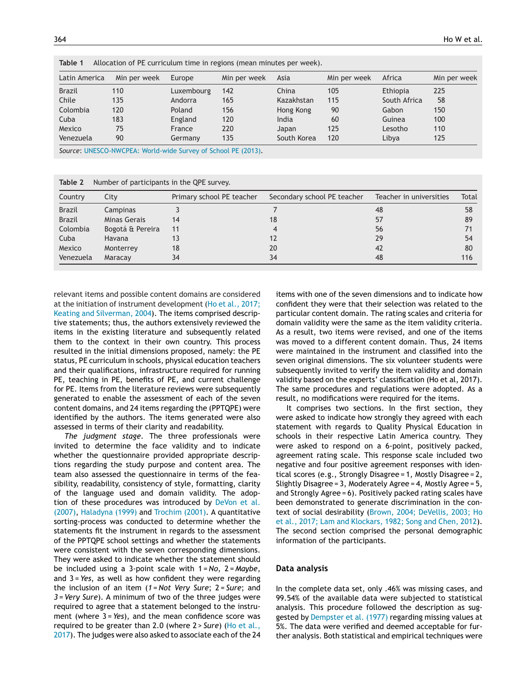| Table T<br>Allocation of PE curriculum time in regions (mean minutes per week). |              |            |              |             |              |              |              |  |  |
|---------------------------------------------------------------------------------|--------------|------------|--------------|-------------|--------------|--------------|--------------|--|--|
| Latin America                                                                   | Min per week | Europe     | Min per week | Asia        | Min per week | Africa       | Min per week |  |  |
| <b>Brazil</b>                                                                   | 110          | Luxembourg | 142          | China       | 105          | Ethiopia     | 225          |  |  |
| Chile                                                                           | 135          | Andorra    | 165          | Kazakhstan  | 115          | South Africa | 58           |  |  |
| Colombia                                                                        | 120          | Poland     | 156          | Hong Kong   | 90           | Gabon        | 150          |  |  |
| Cuba                                                                            | 183          | England    | 120          | India       | 60           | Guinea       | 100          |  |  |
| Mexico                                                                          | 75           | France     | 220          | Japan       | 125          | Lesotho      | 110          |  |  |
| Venezuela                                                                       | 90           | Germany    | 135          | South Korea | 120          | Libya        | 125          |  |  |

<span id="page-3-0"></span>**Table 1** Allocation of PE curriculum time in regions (mean minutes per week).

*Source*: [UNESCO-NWCPEA:](#page-8-0) [World-wide](#page-8-0) [Survey](#page-8-0) [of](#page-8-0) [School](#page-8-0) [PE](#page-8-0) [\(2013\).](#page-8-0)

**Table 2** Number of participants in the QPE survey.

| Country       | City             | Primary school PE teacher | Secondary school PE teacher | Teacher in universities | Total |
|---------------|------------------|---------------------------|-----------------------------|-------------------------|-------|
| Brazil        | Campinas         |                           |                             | 48                      | 58    |
| <b>Brazil</b> | Minas Gerais     | 14                        | 18                          | 57                      | 89    |
| Colombia      | Bogotá & Pereira | 11                        | 4                           | 56                      |       |
| Cuba          | Havana           |                           | 12                          | 29                      | 54    |
| Mexico        | Monterrey        | 18                        | 20                          | 42                      | 80    |
| Venezuela     | Maracay          | 34                        | 34                          | 48                      | 116   |

relevant items and possible content domains are considered at the initiation of instrument development ([Ho](#page-8-0) et [al.,](#page-8-0) [2017;](#page-8-0) [Keating](#page-8-0) [and](#page-8-0) [Silverman,](#page-8-0) [2004\).](#page-8-0) The items comprised descriptive statements; thus, the authors extensively reviewed the items in the existing literature and subsequently related them to the context in their own country. This process resulted in the initial dimensions proposed, namely: the PE status, PE curriculum in schools, physical education teachers and their qualifications, infrastructure required for running PE, teaching in PE, benefits of PE, and current challenge for PE. Items from the literature reviews were subsequently generated to enable the assessment of each of the seven content domains, and 24 items regarding the (PPTQPE) were identified by the authors. The items generated were also assessed in terms of their clarity and readability.

*The judgment stage*. The three professionals were invited to determine the face validity and to indicate whether the questionnaire provided appropriate descriptions regarding the study purpose and content area. The team also assessed the questionnaire in terms of the feasibility, readability, consistency of style, formatting, clarity of the language used and domain validity. The adoption of these procedures was introduced by [DeVon](#page-7-0) et [al.](#page-7-0) [\(2007\),](#page-7-0) [Haladyna](#page-8-0) [\(1999\)](#page-8-0) and [Trochim](#page-8-0) [\(2001\).](#page-8-0) A quantitative sorting-process was conducted to determine whether the statements fit the instrument in regards to the assessment of the PPTQPE school settings and whether the statements were consistent with the seven corresponding dimensions. They were asked to indicate whether the statement should be included using a 3-point scale with 1 = *No*, 2 = *Maybe*, and 3 = *Yes*, as well as how confident they were regarding the inclusion of an item (*1* = *Not Very Sure*; 2 = *Sure*; and *3* = *Very Sure*). A minimum of two of the three judges were required to agree that a statement belonged to the instrument (where 3 = *Yes*), and the mean confidence score was required to be greater than 2.0 (where 2 > *Sure*) [\(Ho](#page-8-0) et [al.,](#page-8-0) [2017\).](#page-8-0) The judges were also asked to associate each of the 24

items with one of the seven dimensions and to indicate how confident they were that their selection was related to the particular content domain. The rating scales and criteria for domain validity were the same as the item validity criteria. As a result, two items were revised, and one of the items was moved to a different content domain. Thus, 24 items were maintained in the instrument and classified into the seven original dimensions. The six volunteer students were subsequently invited to verify the item validity and domain validity based on the experts' classification (Ho et al, 2017). The same procedures and regulations were adopted. As a result, no modifications were required for the items.

It comprises two sections. In the first section, they were asked to indicate how strongly they agreed with each statement with regards to Quality Physical Education in schools in their respective Latin America country. They were asked to respond on a 6-point, positively packed, agreement rating scale. This response scale included two negative and four positive agreement responses with identical scores (e.g., Strongly Disagree = 1, Mostly Disagree = 2, Slightly Disagree = 3, Moderately Agree = 4, Mostly Agree = 5, and Strongly Agree = 6). Positively packed rating scales have been demonstrated to generate discrimination in the context of social desirability [\(Brown,](#page-7-0) [2004;](#page-7-0) [DeVellis,](#page-7-0) [2003;](#page-7-0) [Ho](#page-7-0) et [al.,](#page-7-0) [2017;](#page-7-0) [Lam](#page-7-0) [and](#page-7-0) [Klockars,](#page-7-0) [1982;](#page-7-0) [Song](#page-7-0) [and](#page-7-0) [Chen,](#page-7-0) [2012\).](#page-7-0) The second section comprised the personal demographic information of the participants.

#### **Data analysis**

In the complete data set, only .46% was missing cases, and 99.54% of the available data were subjected to statistical analysis. This procedure followed the description as suggested by [Dempster](#page-7-0) et [al.](#page-7-0) [\(1977\)](#page-7-0) regarding missing values at 5%. The data were verified and deemed acceptable for further analysis. Both statistical and empirical techniques were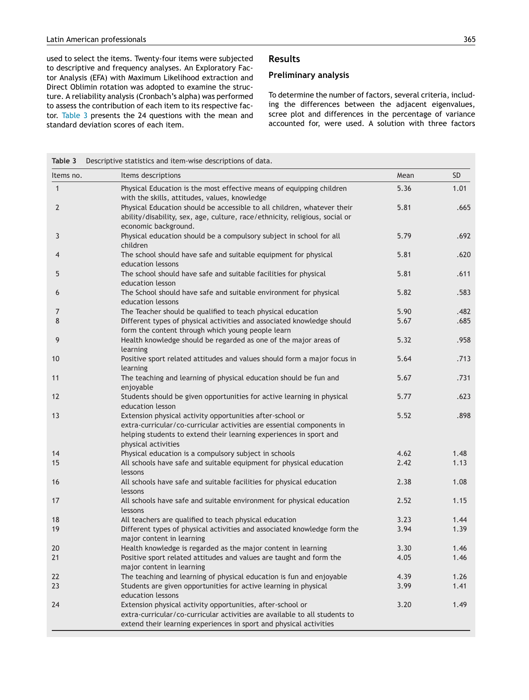<span id="page-4-0"></span>used to select the items. Twenty-four items were subjected to descriptive and frequency analyses. An Exploratory Factor Analysis (EFA) with Maximum Likelihood extraction and Direct Oblimin rotation was adopted to examine the structure. A reliability analysis (Cronbach's alpha) was performed to assess the contribution of each item to its respective factor. Table 3 presents the 24 questions with the mean and standard deviation scores of each item.

## **Results**

## **Preliminary analysis**

To determine the number of factors, several criteria, including the differences between the adjacent eigenvalues, scree plot and differences in the percentage of variance accounted for, were used. A solution with three factors

| Table 3      | Descriptive statistics and item-wise descriptions of data.                                                                                                                                                                      |      |           |
|--------------|---------------------------------------------------------------------------------------------------------------------------------------------------------------------------------------------------------------------------------|------|-----------|
| Items no.    | Items descriptions                                                                                                                                                                                                              | Mean | <b>SD</b> |
| $\mathbf{1}$ | Physical Education is the most effective means of equipping children<br>with the skills, attitudes, values, knowledge                                                                                                           | 5.36 | 1.01      |
| 2            | Physical Education should be accessible to all children, whatever their<br>ability/disability, sex, age, culture, race/ethnicity, religious, social or<br>economic background.                                                  | 5.81 | .665      |
| 3            | Physical education should be a compulsory subject in school for all<br>children                                                                                                                                                 | 5.79 | .692      |
| 4            | The school should have safe and suitable equipment for physical<br>education lessons                                                                                                                                            | 5.81 | .620      |
| 5            | The school should have safe and suitable facilities for physical<br>education lesson                                                                                                                                            | 5.81 | .611      |
| 6            | The School should have safe and suitable environment for physical<br>education lessons                                                                                                                                          | 5.82 | .583      |
| 7            | The Teacher should be qualified to teach physical education                                                                                                                                                                     | 5.90 | .482      |
| 8            | Different types of physical activities and associated knowledge should<br>form the content through which young people learn                                                                                                     | 5.67 | .685      |
| 9            | Health knowledge should be regarded as one of the major areas of<br>learning                                                                                                                                                    | 5.32 | .958      |
| 10           | Positive sport related attitudes and values should form a major focus in<br>learning                                                                                                                                            | 5.64 | .713      |
| 11           | The teaching and learning of physical education should be fun and<br>enjoyable                                                                                                                                                  | 5.67 | .731      |
| 12           | Students should be given opportunities for active learning in physical<br>education lesson                                                                                                                                      | 5.77 | .623      |
| 13           | Extension physical activity opportunities after-school or<br>extra-curricular/co-curricular activities are essential components in<br>helping students to extend their learning experiences in sport and<br>physical activities | 5.52 | .898      |
| 14           | Physical education is a compulsory subject in schools                                                                                                                                                                           | 4.62 | 1.48      |
| 15           | All schools have safe and suitable equipment for physical education<br>lessons                                                                                                                                                  | 2.42 | 1.13      |
| 16           | All schools have safe and suitable facilities for physical education<br>lessons                                                                                                                                                 | 2.38 | 1.08      |
| 17           | All schools have safe and suitable environment for physical education<br>lessons                                                                                                                                                | 2.52 | 1.15      |
| 18           | All teachers are qualified to teach physical education                                                                                                                                                                          | 3.23 | 1.44      |
| 19           | Different types of physical activities and associated knowledge form the<br>major content in learning                                                                                                                           | 3.94 | 1.39      |
| 20           | Health knowledge is regarded as the major content in learning                                                                                                                                                                   | 3.30 | 1.46      |
| 21           | Positive sport related attitudes and values are taught and form the<br>major content in learning                                                                                                                                | 4.05 | 1.46      |
| 22           | The teaching and learning of physical education is fun and enjoyable                                                                                                                                                            | 4.39 | 1.26      |
| 23           | Students are given opportunities for active learning in physical<br>education lessons                                                                                                                                           | 3.99 | 1.41      |
| 24           | Extension physical activity opportunities, after-school or<br>extra-curricular/co-curricular activities are available to all students to<br>extend their learning experiences in sport and physical activities                  | 3.20 | 1.49      |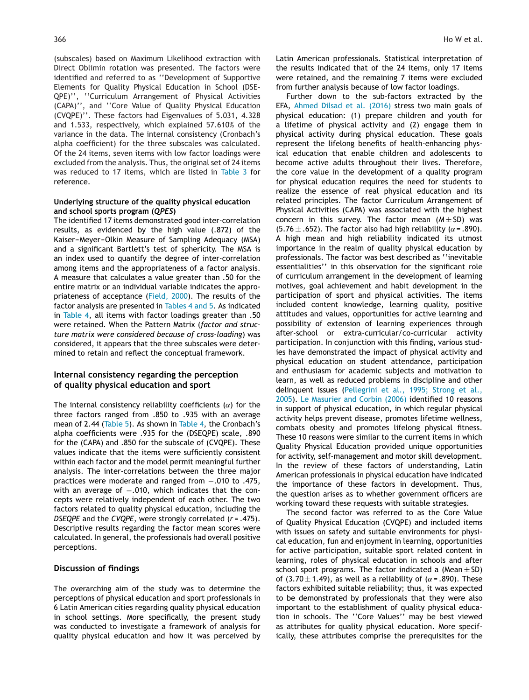(subscales) based on Maximum Likelihood extraction with Direct Oblimin rotation was presented. The factors were identified and referred to as ''Development of Supportive Elements for Quality Physical Education in School (DSE-QPE)'', ''Curriculum Arrangement of Physical Activities (CAPA)'', and ''Core Value of Quality Physical Education (CVQPE)''. These factors had Eigenvalues of 5.031, 4.328 and 1.533, respectively, which explained 57.610% of the variance in the data. The internal consistency (Cronbach's alpha coefficient) for the three subscales was calculated. Of the 24 items, seven items with low factor loadings were excluded from the analysis. Thus, the original set of 24 items was reduced to 17 items, which are listed in [Table](#page-4-0) 3 for reference.

## **Underlying structure of the quality physical education and school sports program (***QPES***)**

The identified 17 items demonstrated good inter-correlation results, as evidenced by the high value (.872) of the Kaiser-Meyer-Olkin Measure of Sampling Adequacy (MSA) and a significant Bartlett's test of sphericity. The MSA is an index used to quantify the degree of inter-correlation among items and the appropriateness of a factor analysis. A measure that calculates a value greater than .50 for the entire matrix or an individual variable indicates the appropriateness of acceptance [\(Field,](#page-7-0) [2000\).](#page-7-0) The results of the factor analysis are presented in [Tables](#page-6-0) 4 and 5. As indicated in [Table](#page-6-0) 4, all items with factor loadings greater than .50 were retained. When the Pattern Matrix (*factor and structure matrix were considered because of cross-loading*) was considered, it appears that the three subscales were determined to retain and reflect the conceptual framework.

## **Internal consistency regarding the perception of quality physical education and sport**

The internal consistency reliability coefficients ( $\alpha$ ) for the three factors ranged from .850 to .935 with an average mean of 2.44 [\(Table](#page-7-0) 5). As shown in [Table](#page-6-0) 4, the Cronbach's alpha coefficients were .935 for the (DSEQPE) scale, .890 for the (CAPA) and .850 for the subscale of (CVQPE). These values indicate that the items were sufficiently consistent within each factor and the model permit meaningful further analysis. The inter-correlations between the three major practices were moderate and ranged from −.010 to .475, with an average of −.010, which indicates that the concepts were relatively independent of each other. The two factors related to quality physical education, including the *DSEQPE* and the *CVQPE*, were strongly correlated (*r* = .475). Descriptive results regarding the factor mean scores were calculated. In general, the professionals had overall positive perceptions.

## **Discussion of findings**

The overarching aim of the study was to determine the perceptions of physical education and sport professionals in 6 Latin American cities regarding quality physical education in school settings. More specifically, the present study was conducted to investigate a framework of analysis for quality physical education and how it was perceived by Latin American professionals. Statistical interpretation of the results indicated that of the 24 items, only 17 items were retained, and the remaining 7 items were excluded from further analysis because of low factor loadings.

Further down to the sub-factors extracted by the EFA, [Ahmed](#page-7-0) [Dilsad](#page-7-0) et [al.](#page-7-0) [\(2016\)](#page-7-0) stress two main goals of physical education: (1) prepare children and youth for a lifetime of physical activity and (2) engage them in physical activity during physical education. These goals represent the lifelong benefits of health-enhancing physical education that enable children and adolescents to become active adults throughout their lives. Therefore, the core value in the development of a quality program for physical education requires the need for students to realize the essence of real physical education and its related principles. The factor Curriculum Arrangement of Physical Activities (CAPA) was associated with the highest concern in this survey. The factor mean (*M* ± SD) was (5.76  $\pm$  .652). The factor also had high reliability ( $\alpha$  = .890). A high mean and high reliability indicated its utmost importance in the realm of quality physical education by professionals. The factor was best described as ''inevitable essentialities'' in this observation for the significant role of curriculum arrangement in the development of learning motives, goal achievement and habit development in the participation of sport and physical activities. The items included content knowledge, learning quality, positive attitudes and values, opportunities for active learning and possibility of extension of learning experiences through after-school or extra-curricular/co-curricular activity participation. In conjunction with this finding, various studies have demonstrated the impact of physical activity and physical education on student attendance, participation and enthusiasm for academic subjects and motivation to learn, as well as reduced problems in discipline and other delinquent issues [\(Pellegrini](#page-8-0) et [al.,](#page-8-0) [1995;](#page-8-0) [Strong](#page-8-0) et [al.,](#page-8-0) [2005\).](#page-8-0) [Le](#page-8-0) [Masurier](#page-8-0) [and](#page-8-0) [Corbin](#page-8-0) [\(2006\)](#page-8-0) identified 10 reasons in support of physical education, in which regular physical activity helps prevent disease, promotes lifetime wellness, combats obesity and promotes lifelong physical fitness. These 10 reasons were similar to the current items in which Quality Physical Education provided unique opportunities for activity, self-management and motor skill development. In the review of these factors of understanding, Latin American professionals in physical education have indicated the importance of these factors in development. Thus, the question arises as to whether government officers are working toward these requests with suitable strategies.

The second factor was referred to as the Core Value of Quality Physical Education (CVQPE) and included items with issues on safety and suitable environments for physical education, fun and enjoyment in learning, opportunities for active participation, suitable sport related content in learning, roles of physical education in schools and after school sport programs. The factor indicated a  $(Mean \pm SD)$ of (3.70  $\pm$  1.49), as well as a reliability of ( $\alpha$  = .890). These factors exhibited suitable reliability; thus, it was expected to be demonstrated by professionals that they were also important to the establishment of quality physical education in schools. The ''Core Values'' may be best viewed as attributes for quality physical education. More specifically, these attributes comprise the prerequisites for the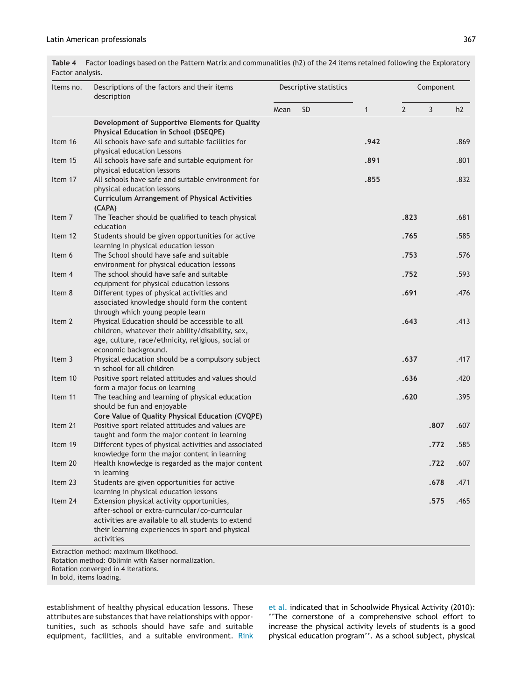<span id="page-6-0"></span>**Table 4** Factor loadings based on the Pattern Matrix and communalities (h2) of the 24 items retained following the Exploratory Factor analysis.

| Items no. | Descriptions of the factors and their items<br>description                                    |      | Descriptive statistics |              | Component |      |      |
|-----------|-----------------------------------------------------------------------------------------------|------|------------------------|--------------|-----------|------|------|
|           |                                                                                               | Mean | SD.                    | $\mathbf{1}$ | 2         | 3    | h2   |
|           | Development of Supportive Elements for Quality                                                |      |                        |              |           |      |      |
|           | <b>Physical Education in School (DSEQPE)</b>                                                  |      |                        |              |           |      |      |
| Item 16   | All schools have safe and suitable facilities for                                             |      |                        | .942         |           |      | .869 |
|           | physical education Lessons                                                                    |      |                        |              |           |      |      |
| Item 15   | All schools have safe and suitable equipment for                                              |      |                        | .891         |           |      | .801 |
|           | physical education lessons<br>All schools have safe and suitable environment for              |      |                        | .855         |           |      | .832 |
| Item 17   | physical education lessons                                                                    |      |                        |              |           |      |      |
|           | <b>Curriculum Arrangement of Physical Activities</b>                                          |      |                        |              |           |      |      |
|           | (CAPA)                                                                                        |      |                        |              |           |      |      |
| Item 7    | The Teacher should be qualified to teach physical                                             |      |                        |              | .823      |      | .681 |
|           | education                                                                                     |      |                        |              |           |      |      |
| Item 12   | Students should be given opportunities for active                                             |      |                        |              | .765      |      | .585 |
|           | learning in physical education lesson                                                         |      |                        |              |           |      |      |
| Item 6    | The School should have safe and suitable                                                      |      |                        |              | .753      |      | .576 |
|           | environment for physical education lessons                                                    |      |                        |              |           |      |      |
| Item 4    | The school should have safe and suitable                                                      |      |                        |              | .752      |      | .593 |
|           | equipment for physical education lessons                                                      |      |                        |              |           |      |      |
| Item 8    | Different types of physical activities and                                                    |      |                        |              | .691      |      | .476 |
|           | associated knowledge should form the content                                                  |      |                        |              |           |      |      |
|           | through which young people learn                                                              |      |                        |              |           |      |      |
| Item 2    | Physical Education should be accessible to all                                                |      |                        |              | .643      |      | .413 |
|           | children, whatever their ability/disability, sex,                                             |      |                        |              |           |      |      |
|           | age, culture, race/ethnicity, religious, social or                                            |      |                        |              |           |      |      |
| Item 3    | economic background.<br>Physical education should be a compulsory subject                     |      |                        |              | .637      |      | .417 |
|           | in school for all children                                                                    |      |                        |              |           |      |      |
| Item 10   | Positive sport related attitudes and values should                                            |      |                        |              | .636      |      | .420 |
|           | form a major focus on learning                                                                |      |                        |              |           |      |      |
| Item 11   | The teaching and learning of physical education                                               |      |                        |              | .620      |      | .395 |
|           | should be fun and enjoyable                                                                   |      |                        |              |           |      |      |
|           | Core Value of Quality Physical Education (CVQPE)                                              |      |                        |              |           |      |      |
| Item 21   | Positive sport related attitudes and values are                                               |      |                        |              |           | .807 | .607 |
|           | taught and form the major content in learning                                                 |      |                        |              |           |      |      |
| Item 19   | Different types of physical activities and associated                                         |      |                        |              |           | .772 | .585 |
|           | knowledge form the major content in learning                                                  |      |                        |              |           |      |      |
| Item 20   | Health knowledge is regarded as the major content                                             |      |                        |              |           | .722 | .607 |
|           | in learning                                                                                   |      |                        |              |           |      |      |
| Item 23   | Students are given opportunities for active                                                   |      |                        |              |           | .678 | .471 |
| Item 24   | learning in physical education lessons                                                        |      |                        |              |           |      |      |
|           | Extension physical activity opportunities,                                                    |      |                        |              |           | .575 | .465 |
|           | after-school or extra-curricular/co-curricular                                                |      |                        |              |           |      |      |
|           | activities are available to all students to extend                                            |      |                        |              |           |      |      |
|           | their learning experiences in sport and physical<br>activities                                |      |                        |              |           |      |      |
|           |                                                                                               |      |                        |              |           |      |      |
|           | Extraction method: maximum likelihood.<br>Rotation method: Oblimin with Kaiser normalization. |      |                        |              |           |      |      |

Rotation converged in 4 iterations.

In bold, items loading.

establishment of healthy physical education lessons. These attributes are substances that have relationships with opportunities, such as schools should have safe and suitable equipment, facilities, and a suitable environment. [Rink](#page-8-0)

et [al.](#page-8-0) indicated that in Schoolwide Physical Activity (2010): ''The cornerstone of a comprehensive school effort to increase the physical activity levels of students is a good physical education program''. As a school subject, physical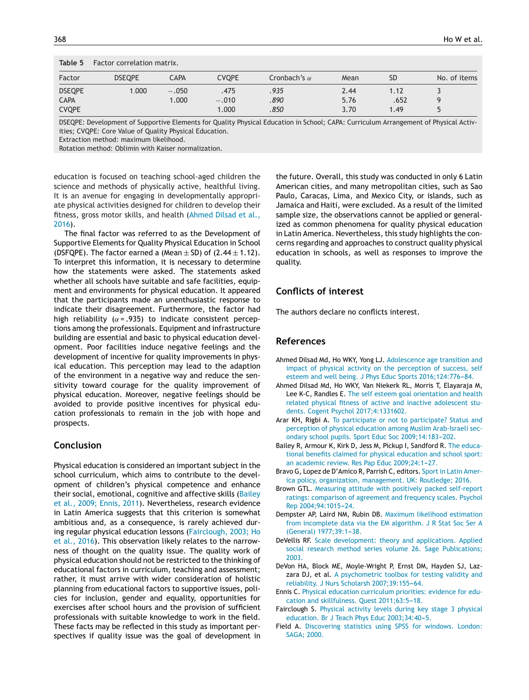<span id="page-7-0"></span>

| Table 5       | Factor correlation matrix. |             |              |                     |      |           |              |
|---------------|----------------------------|-------------|--------------|---------------------|------|-----------|--------------|
| Factor        | <b>DSEOPE</b>              | <b>CAPA</b> | <b>CVQPE</b> | Cronbach's $\alpha$ | Mean | <b>SD</b> | No. of items |
| <b>DSEQPE</b> | 1.000                      | $-.0501$    | .475         | .935                | 2.44 | 1.12      |              |
| <b>CAPA</b>   |                            | 1.000       | $-.010$      | .890                | 5.76 | .652      |              |
| <b>CVQPE</b>  |                            |             | 1.000        | .850                | 3.70 | 1.49      |              |

DSEQPE: Development of Supportive Elements for Quality Physical Education in School; CAPA: Curriculum Arrangement of Physical Activities; CVQPE: Core Value of Quality Physical Education.

Extraction method: maximum likelihood.

Rotation method: Oblimin with Kaiser normalization.

education is focused on teaching school-aged children the science and methods of physically active, healthful living. It is an avenue for engaging in developmentally appropriate physical activities designed for children to develop their fitness, gross motor skills, and health (Ahmed Dilsad et al., 2016).

The final factor was referred to as the Development of Supportive Elements for Quality Physical Education in School (DSFQPE). The factor earned a (Mean  $\pm$  SD) of (2.44  $\pm$  1.12). To interpret this information, it is necessary to determine how the statements were asked. The statements asked whether all schools have suitable and safe facilities, equipment and environments for physical education. It appeared that the participants made an unenthusiastic response to indicate their disagreement. Furthermore, the factor had high reliability ( $\alpha$  = .935) to indicate consistent perceptions among the professionals. Equipment and infrastructure building are essential and basic to physical education development. Poor facilities induce negative feelings and the development of incentive for quality improvements in physical education. This perception may lead to the adaption of the environment in a negative way and reduce the sensitivity toward courage for the quality improvement of physical education. Moreover, negative feelings should be avoided to provide positive incentives for physical education professionals to remain in the job with hope and prospects.

## **Conclusion**

Physical education is considered an important subject in the school curriculum, which aims to contribute to the development of children's physical competence and enhance their social, emotional, cognitive and affective skills (Bailey et al., 2009; Ennis, 2011). Nevertheless, research evidence in Latin America suggests that this criterion is somewhat ambitious and, as a consequence, is rarely achieved during regular physical education lessons (Fairclough, 2003; Ho et al., 2016). This observation likely relates to the narrowness of thought on the quality issue. The quality work of physical education should not be restricted to the thinking of educational factors in curriculum, teaching and assessment; rather, it must arrive with wider consideration of holistic planning from educational factors to supportive issues, policies for inclusion, gender and equality, opportunities for exercises after school hours and the provision of sufficient professionals with suitable knowledge to work in the field. These facts may be reflected in this study as important perspectives if quality issue was the goal of development in the future. Overall, this study was conducted in only 6 Latin American cities, and many metropolitan cities, such as Sao Paulo, Caracas, Lima, and Mexico City, or islands, such as Jamaica and Haiti, were excluded. As a result of the limited sample size, the observations cannot be applied or generalized as common phenomena for quality physical education in Latin America. Nevertheless, this study highlights the concerns regarding and approaches to construct quality physical education in schools, as well as responses to improve the quality.

## **Conflicts of interest**

The authors declare no conflicts interest.

## **References**

- Ahmed Dilsad Md, Ho WKY, Yong LJ. [Adolescence](http://refhub.elsevier.com/S0101-3289(16)30065-8/sbref0005) [age](http://refhub.elsevier.com/S0101-3289(16)30065-8/sbref0005) [transition](http://refhub.elsevier.com/S0101-3289(16)30065-8/sbref0005) [and](http://refhub.elsevier.com/S0101-3289(16)30065-8/sbref0005) [impact](http://refhub.elsevier.com/S0101-3289(16)30065-8/sbref0005) [of](http://refhub.elsevier.com/S0101-3289(16)30065-8/sbref0005) [physical](http://refhub.elsevier.com/S0101-3289(16)30065-8/sbref0005) [activity](http://refhub.elsevier.com/S0101-3289(16)30065-8/sbref0005) [on](http://refhub.elsevier.com/S0101-3289(16)30065-8/sbref0005) [the](http://refhub.elsevier.com/S0101-3289(16)30065-8/sbref0005) [perception](http://refhub.elsevier.com/S0101-3289(16)30065-8/sbref0005) [of](http://refhub.elsevier.com/S0101-3289(16)30065-8/sbref0005) [success,](http://refhub.elsevier.com/S0101-3289(16)30065-8/sbref0005) [self](http://refhub.elsevier.com/S0101-3289(16)30065-8/sbref0005) [esteem](http://refhub.elsevier.com/S0101-3289(16)30065-8/sbref0005) [and](http://refhub.elsevier.com/S0101-3289(16)30065-8/sbref0005) [well](http://refhub.elsevier.com/S0101-3289(16)30065-8/sbref0005) [being.](http://refhub.elsevier.com/S0101-3289(16)30065-8/sbref0005) [J](http://refhub.elsevier.com/S0101-3289(16)30065-8/sbref0005) [Phys](http://refhub.elsevier.com/S0101-3289(16)30065-8/sbref0005) [Educ](http://refhub.elsevier.com/S0101-3289(16)30065-8/sbref0005) [Sports](http://refhub.elsevier.com/S0101-3289(16)30065-8/sbref0005) [2016;124:776](http://refhub.elsevier.com/S0101-3289(16)30065-8/sbref0005)-[84.](http://refhub.elsevier.com/S0101-3289(16)30065-8/sbref0005)
- Ahmed Dilsad Md, Ho WKY, Van Niekerk RL, Morris T, Elayaraja M, Lee K-C, Randles E. [The](http://refhub.elsevier.com/S0101-3289(16)30065-8/sbref0010) [self](http://refhub.elsevier.com/S0101-3289(16)30065-8/sbref0010) [esteem](http://refhub.elsevier.com/S0101-3289(16)30065-8/sbref0010) [goal](http://refhub.elsevier.com/S0101-3289(16)30065-8/sbref0010) [orientation](http://refhub.elsevier.com/S0101-3289(16)30065-8/sbref0010) [and](http://refhub.elsevier.com/S0101-3289(16)30065-8/sbref0010) [health](http://refhub.elsevier.com/S0101-3289(16)30065-8/sbref0010) [related](http://refhub.elsevier.com/S0101-3289(16)30065-8/sbref0010) [physical](http://refhub.elsevier.com/S0101-3289(16)30065-8/sbref0010) [fitness](http://refhub.elsevier.com/S0101-3289(16)30065-8/sbref0010) [of](http://refhub.elsevier.com/S0101-3289(16)30065-8/sbref0010) [active](http://refhub.elsevier.com/S0101-3289(16)30065-8/sbref0010) [and](http://refhub.elsevier.com/S0101-3289(16)30065-8/sbref0010) [inactive](http://refhub.elsevier.com/S0101-3289(16)30065-8/sbref0010) [adolescent](http://refhub.elsevier.com/S0101-3289(16)30065-8/sbref0010) [stu](http://refhub.elsevier.com/S0101-3289(16)30065-8/sbref0010)[dents.](http://refhub.elsevier.com/S0101-3289(16)30065-8/sbref0010) [Cogent](http://refhub.elsevier.com/S0101-3289(16)30065-8/sbref0010) [Psychol](http://refhub.elsevier.com/S0101-3289(16)30065-8/sbref0010) [2017;4:1331602.](http://refhub.elsevier.com/S0101-3289(16)30065-8/sbref0010)
- Arar KH, Rigbi A. [To](http://refhub.elsevier.com/S0101-3289(16)30065-8/sbref0015) [participate](http://refhub.elsevier.com/S0101-3289(16)30065-8/sbref0015) [or](http://refhub.elsevier.com/S0101-3289(16)30065-8/sbref0015) [not](http://refhub.elsevier.com/S0101-3289(16)30065-8/sbref0015) [to](http://refhub.elsevier.com/S0101-3289(16)30065-8/sbref0015) [participate?](http://refhub.elsevier.com/S0101-3289(16)30065-8/sbref0015) [Status](http://refhub.elsevier.com/S0101-3289(16)30065-8/sbref0015) [and](http://refhub.elsevier.com/S0101-3289(16)30065-8/sbref0015) [perception](http://refhub.elsevier.com/S0101-3289(16)30065-8/sbref0015) [of](http://refhub.elsevier.com/S0101-3289(16)30065-8/sbref0015) [physical](http://refhub.elsevier.com/S0101-3289(16)30065-8/sbref0015) [education](http://refhub.elsevier.com/S0101-3289(16)30065-8/sbref0015) [among](http://refhub.elsevier.com/S0101-3289(16)30065-8/sbref0015) [Muslim](http://refhub.elsevier.com/S0101-3289(16)30065-8/sbref0015) [Arab-Israeli](http://refhub.elsevier.com/S0101-3289(16)30065-8/sbref0015) [sec](http://refhub.elsevier.com/S0101-3289(16)30065-8/sbref0015)[ondary](http://refhub.elsevier.com/S0101-3289(16)30065-8/sbref0015) [school](http://refhub.elsevier.com/S0101-3289(16)30065-8/sbref0015) [pupils.](http://refhub.elsevier.com/S0101-3289(16)30065-8/sbref0015) [Sport](http://refhub.elsevier.com/S0101-3289(16)30065-8/sbref0015) [Educ](http://refhub.elsevier.com/S0101-3289(16)30065-8/sbref0015) [Soc](http://refhub.elsevier.com/S0101-3289(16)30065-8/sbref0015) 2009;14:183-202.
- Bailey R, Armour K, Kirk D, Jess M, Pickup I, Sandford R. [The](http://refhub.elsevier.com/S0101-3289(16)30065-8/sbref0020) [educa](http://refhub.elsevier.com/S0101-3289(16)30065-8/sbref0020)[tional](http://refhub.elsevier.com/S0101-3289(16)30065-8/sbref0020) [benefits](http://refhub.elsevier.com/S0101-3289(16)30065-8/sbref0020) [claimed](http://refhub.elsevier.com/S0101-3289(16)30065-8/sbref0020) [for](http://refhub.elsevier.com/S0101-3289(16)30065-8/sbref0020) [physical](http://refhub.elsevier.com/S0101-3289(16)30065-8/sbref0020) [education](http://refhub.elsevier.com/S0101-3289(16)30065-8/sbref0020) [and](http://refhub.elsevier.com/S0101-3289(16)30065-8/sbref0020) [school](http://refhub.elsevier.com/S0101-3289(16)30065-8/sbref0020) [sport:](http://refhub.elsevier.com/S0101-3289(16)30065-8/sbref0020) [an](http://refhub.elsevier.com/S0101-3289(16)30065-8/sbref0020) [academic](http://refhub.elsevier.com/S0101-3289(16)30065-8/sbref0020) [review.](http://refhub.elsevier.com/S0101-3289(16)30065-8/sbref0020) [Res](http://refhub.elsevier.com/S0101-3289(16)30065-8/sbref0020) [Pap](http://refhub.elsevier.com/S0101-3289(16)30065-8/sbref0020) [Educ](http://refhub.elsevier.com/S0101-3289(16)30065-8/sbref0020) 2009;24:1-27.
- Bravo G, Lopez de D'Amico R, Parrish C, editors. [Sport](http://refhub.elsevier.com/S0101-3289(16)30065-8/sbref0025) [in](http://refhub.elsevier.com/S0101-3289(16)30065-8/sbref0025) [Latin](http://refhub.elsevier.com/S0101-3289(16)30065-8/sbref0025) [Amer](http://refhub.elsevier.com/S0101-3289(16)30065-8/sbref0025)[ica](http://refhub.elsevier.com/S0101-3289(16)30065-8/sbref0025) [policy,](http://refhub.elsevier.com/S0101-3289(16)30065-8/sbref0025) [organization,](http://refhub.elsevier.com/S0101-3289(16)30065-8/sbref0025) [management.](http://refhub.elsevier.com/S0101-3289(16)30065-8/sbref0025) [UK:](http://refhub.elsevier.com/S0101-3289(16)30065-8/sbref0025) [Routledge;](http://refhub.elsevier.com/S0101-3289(16)30065-8/sbref0025) [2016.](http://refhub.elsevier.com/S0101-3289(16)30065-8/sbref0025)
- Brown GTL. [Measuring](http://refhub.elsevier.com/S0101-3289(16)30065-8/sbref0030) [attitude](http://refhub.elsevier.com/S0101-3289(16)30065-8/sbref0030) [with](http://refhub.elsevier.com/S0101-3289(16)30065-8/sbref0030) [positively](http://refhub.elsevier.com/S0101-3289(16)30065-8/sbref0030) [packed](http://refhub.elsevier.com/S0101-3289(16)30065-8/sbref0030) [self-report](http://refhub.elsevier.com/S0101-3289(16)30065-8/sbref0030) [ratings:](http://refhub.elsevier.com/S0101-3289(16)30065-8/sbref0030) [comparison](http://refhub.elsevier.com/S0101-3289(16)30065-8/sbref0030) [of](http://refhub.elsevier.com/S0101-3289(16)30065-8/sbref0030) [agreement](http://refhub.elsevier.com/S0101-3289(16)30065-8/sbref0030) [and](http://refhub.elsevier.com/S0101-3289(16)30065-8/sbref0030) [frequency](http://refhub.elsevier.com/S0101-3289(16)30065-8/sbref0030) [scales.](http://refhub.elsevier.com/S0101-3289(16)30065-8/sbref0030) [Psychol](http://refhub.elsevier.com/S0101-3289(16)30065-8/sbref0030) [Rep](http://refhub.elsevier.com/S0101-3289(16)30065-8/sbref0030) 2004;94:1015-24.
- Dempster AP, Laird NM, Rubin DB. [Maximum](http://refhub.elsevier.com/S0101-3289(16)30065-8/sbref0045) [likelihood](http://refhub.elsevier.com/S0101-3289(16)30065-8/sbref0045) [estimation](http://refhub.elsevier.com/S0101-3289(16)30065-8/sbref0045) [from](http://refhub.elsevier.com/S0101-3289(16)30065-8/sbref0045) [incomplete](http://refhub.elsevier.com/S0101-3289(16)30065-8/sbref0045) [data](http://refhub.elsevier.com/S0101-3289(16)30065-8/sbref0045) [via](http://refhub.elsevier.com/S0101-3289(16)30065-8/sbref0045) [the](http://refhub.elsevier.com/S0101-3289(16)30065-8/sbref0045) [EM](http://refhub.elsevier.com/S0101-3289(16)30065-8/sbref0045) [algorithm.](http://refhub.elsevier.com/S0101-3289(16)30065-8/sbref0045) [J](http://refhub.elsevier.com/S0101-3289(16)30065-8/sbref0045) [R](http://refhub.elsevier.com/S0101-3289(16)30065-8/sbref0045) [Stat](http://refhub.elsevier.com/S0101-3289(16)30065-8/sbref0045) [Soc](http://refhub.elsevier.com/S0101-3289(16)30065-8/sbref0045) [Ser](http://refhub.elsevier.com/S0101-3289(16)30065-8/sbref0045) [A](http://refhub.elsevier.com/S0101-3289(16)30065-8/sbref0045) [\(General\)](http://refhub.elsevier.com/S0101-3289(16)30065-8/sbref0045) 1977;39:1-38.
- DeVellis RF. [Scale](http://refhub.elsevier.com/S0101-3289(16)30065-8/sbref0050) [development:](http://refhub.elsevier.com/S0101-3289(16)30065-8/sbref0050) [theory](http://refhub.elsevier.com/S0101-3289(16)30065-8/sbref0050) [and](http://refhub.elsevier.com/S0101-3289(16)30065-8/sbref0050) [applications.](http://refhub.elsevier.com/S0101-3289(16)30065-8/sbref0050) [Applied](http://refhub.elsevier.com/S0101-3289(16)30065-8/sbref0050) [social](http://refhub.elsevier.com/S0101-3289(16)30065-8/sbref0050) [research](http://refhub.elsevier.com/S0101-3289(16)30065-8/sbref0050) [method](http://refhub.elsevier.com/S0101-3289(16)30065-8/sbref0050) [series](http://refhub.elsevier.com/S0101-3289(16)30065-8/sbref0050) [volume](http://refhub.elsevier.com/S0101-3289(16)30065-8/sbref0050) [26.](http://refhub.elsevier.com/S0101-3289(16)30065-8/sbref0050) [Sage](http://refhub.elsevier.com/S0101-3289(16)30065-8/sbref0050) [Publications;](http://refhub.elsevier.com/S0101-3289(16)30065-8/sbref0050) [2003.](http://refhub.elsevier.com/S0101-3289(16)30065-8/sbref0050)
- DeVon HA, Block ME, Moyle-Wright P, Ernst DM, Hayden SJ, Lazzara DJ, et al. [A](http://refhub.elsevier.com/S0101-3289(16)30065-8/sbref0055) [psychometric](http://refhub.elsevier.com/S0101-3289(16)30065-8/sbref0055) [toolbox](http://refhub.elsevier.com/S0101-3289(16)30065-8/sbref0055) [for](http://refhub.elsevier.com/S0101-3289(16)30065-8/sbref0055) [testing](http://refhub.elsevier.com/S0101-3289(16)30065-8/sbref0055) [validity](http://refhub.elsevier.com/S0101-3289(16)30065-8/sbref0055) [and](http://refhub.elsevier.com/S0101-3289(16)30065-8/sbref0055) [reliability.](http://refhub.elsevier.com/S0101-3289(16)30065-8/sbref0055) [J](http://refhub.elsevier.com/S0101-3289(16)30065-8/sbref0055) [Nurs](http://refhub.elsevier.com/S0101-3289(16)30065-8/sbref0055) [Scholarsh](http://refhub.elsevier.com/S0101-3289(16)30065-8/sbref0055) [2007;39:155](http://refhub.elsevier.com/S0101-3289(16)30065-8/sbref0055)-[64.](http://refhub.elsevier.com/S0101-3289(16)30065-8/sbref0055)
- Ennis C. [Physical](http://refhub.elsevier.com/S0101-3289(16)30065-8/sbref0060) [education](http://refhub.elsevier.com/S0101-3289(16)30065-8/sbref0060) [curriculum](http://refhub.elsevier.com/S0101-3289(16)30065-8/sbref0060) [priorities:](http://refhub.elsevier.com/S0101-3289(16)30065-8/sbref0060) [evidence](http://refhub.elsevier.com/S0101-3289(16)30065-8/sbref0060) [for](http://refhub.elsevier.com/S0101-3289(16)30065-8/sbref0060) [edu](http://refhub.elsevier.com/S0101-3289(16)30065-8/sbref0060)[cation](http://refhub.elsevier.com/S0101-3289(16)30065-8/sbref0060) [and](http://refhub.elsevier.com/S0101-3289(16)30065-8/sbref0060) [skillfulness.](http://refhub.elsevier.com/S0101-3289(16)30065-8/sbref0060) [Quest](http://refhub.elsevier.com/S0101-3289(16)30065-8/sbref0060) [2011;63:5](http://refhub.elsevier.com/S0101-3289(16)30065-8/sbref0060)-[18.](http://refhub.elsevier.com/S0101-3289(16)30065-8/sbref0060)
- Fairclough S. [Physical](http://refhub.elsevier.com/S0101-3289(16)30065-8/sbref0065) [activity](http://refhub.elsevier.com/S0101-3289(16)30065-8/sbref0065) [levels](http://refhub.elsevier.com/S0101-3289(16)30065-8/sbref0065) [during](http://refhub.elsevier.com/S0101-3289(16)30065-8/sbref0065) [key](http://refhub.elsevier.com/S0101-3289(16)30065-8/sbref0065) [stage](http://refhub.elsevier.com/S0101-3289(16)30065-8/sbref0065) [3](http://refhub.elsevier.com/S0101-3289(16)30065-8/sbref0065) [physical](http://refhub.elsevier.com/S0101-3289(16)30065-8/sbref0065) [education.](http://refhub.elsevier.com/S0101-3289(16)30065-8/sbref0065) [Br](http://refhub.elsevier.com/S0101-3289(16)30065-8/sbref0065) [J](http://refhub.elsevier.com/S0101-3289(16)30065-8/sbref0065) [Teach](http://refhub.elsevier.com/S0101-3289(16)30065-8/sbref0065) [Phys](http://refhub.elsevier.com/S0101-3289(16)30065-8/sbref0065) [Educ](http://refhub.elsevier.com/S0101-3289(16)30065-8/sbref0065) 2003;34:40-5.
- Field A. [Discovering](http://refhub.elsevier.com/S0101-3289(16)30065-8/sbref0070) [statistics](http://refhub.elsevier.com/S0101-3289(16)30065-8/sbref0070) [using](http://refhub.elsevier.com/S0101-3289(16)30065-8/sbref0070) [SPSS](http://refhub.elsevier.com/S0101-3289(16)30065-8/sbref0070) [for](http://refhub.elsevier.com/S0101-3289(16)30065-8/sbref0070) [windows.](http://refhub.elsevier.com/S0101-3289(16)30065-8/sbref0070) [London:](http://refhub.elsevier.com/S0101-3289(16)30065-8/sbref0070) [SAGA;](http://refhub.elsevier.com/S0101-3289(16)30065-8/sbref0070) [2000.](http://refhub.elsevier.com/S0101-3289(16)30065-8/sbref0070)